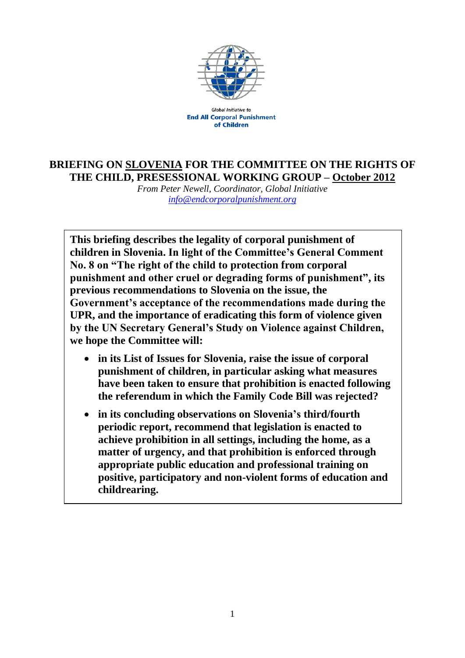

**Global Initiative to End All Corporal Punishment** of Children

## **BRIEFING ON SLOVENIA FOR THE COMMITTEE ON THE RIGHTS OF THE CHILD, PRESESSIONAL WORKING GROUP – October 2012**

*From Peter Newell, Coordinator, Global Initiative [info@endcorporalpunishment.org](mailto:info@endcorporalpunishment.org)*

**This briefing describes the legality of corporal punishment of children in Slovenia. In light of the Committee's General Comment No. 8 on "The right of the child to protection from corporal punishment and other cruel or degrading forms of punishment", its previous recommendations to Slovenia on the issue, the Government's acceptance of the recommendations made during the UPR, and the importance of eradicating this form of violence given by the UN Secretary General's Study on Violence against Children, we hope the Committee will:**

- **in its List of Issues for Slovenia, raise the issue of corporal punishment of children, in particular asking what measures have been taken to ensure that prohibition is enacted following the referendum in which the Family Code Bill was rejected?**
- **in its concluding observations on Slovenia's third/fourth periodic report, recommend that legislation is enacted to achieve prohibition in all settings, including the home, as a matter of urgency, and that prohibition is enforced through appropriate public education and professional training on positive, participatory and non-violent forms of education and childrearing.**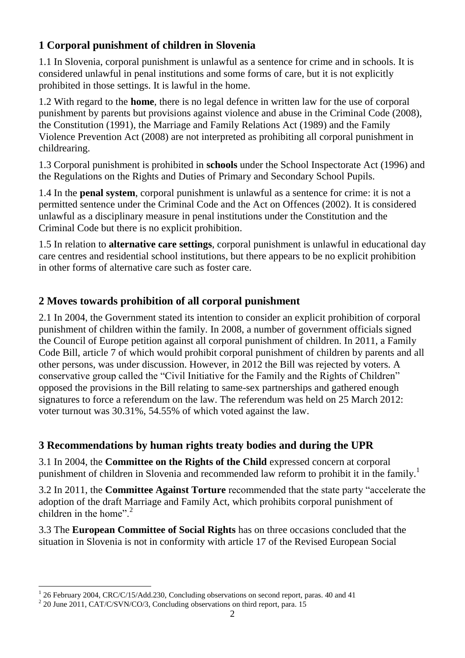## **1 Corporal punishment of children in Slovenia**

1.1 In Slovenia, corporal punishment is unlawful as a sentence for crime and in schools. It is considered unlawful in penal institutions and some forms of care, but it is not explicitly prohibited in those settings. It is lawful in the home.

1.2 With regard to the **home**, there is no legal defence in written law for the use of corporal punishment by parents but provisions against violence and abuse in the Criminal Code (2008), the Constitution (1991), the Marriage and Family Relations Act (1989) and the Family Violence Prevention Act (2008) are not interpreted as prohibiting all corporal punishment in childrearing.

1.3 Corporal punishment is prohibited in **schools** under the School Inspectorate Act (1996) and the Regulations on the Rights and Duties of Primary and Secondary School Pupils.

1.4 In the **penal system**, corporal punishment is unlawful as a sentence for crime: it is not a permitted sentence under the Criminal Code and the Act on Offences (2002). It is considered unlawful as a disciplinary measure in penal institutions under the Constitution and the Criminal Code but there is no explicit prohibition.

1.5 In relation to **alternative care settings**, corporal punishment is unlawful in educational day care centres and residential school institutions, but there appears to be no explicit prohibition in other forms of alternative care such as foster care.

## **2 Moves towards prohibition of all corporal punishment**

2.1 In 2004, the Government stated its intention to consider an explicit prohibition of corporal punishment of children within the family. In 2008, a number of government officials signed the Council of Europe petition against all corporal punishment of children. In 2011, a Family Code Bill, article 7 of which would prohibit corporal punishment of children by parents and all other persons, was under discussion. However, in 2012 the Bill was rejected by voters. A conservative group called the "Civil Initiative for the Family and the Rights of Children" opposed the provisions in the Bill relating to same-sex partnerships and gathered enough signatures to force a referendum on the law. The referendum was held on 25 March 2012: voter turnout was 30.31%, 54.55% of which voted against the law.

## **3 Recommendations by human rights treaty bodies and during the UPR**

3.1 In 2004, the **Committee on the Rights of the Child** expressed concern at corporal punishment of children in Slovenia and recommended law reform to prohibit it in the family.<sup>1</sup>

3.2 In 2011, the **Committee Against Torture** recommended that the state party "accelerate the adoption of the draft Marriage and Family Act, which prohibits corporal punishment of children in the home". $2$ 

3.3 The **European Committee of Social Rights** has on three occasions concluded that the situation in Slovenia is not in conformity with article 17 of the Revised European Social

 $\overline{a}$ 1 26 February 2004, CRC/C/15/Add.230, Concluding observations on second report, paras. 40 and 41

<sup>&</sup>lt;sup>2</sup> 20 June 2011, CAT/C/SVN/CO/3, Concluding observations on third report, para. 15